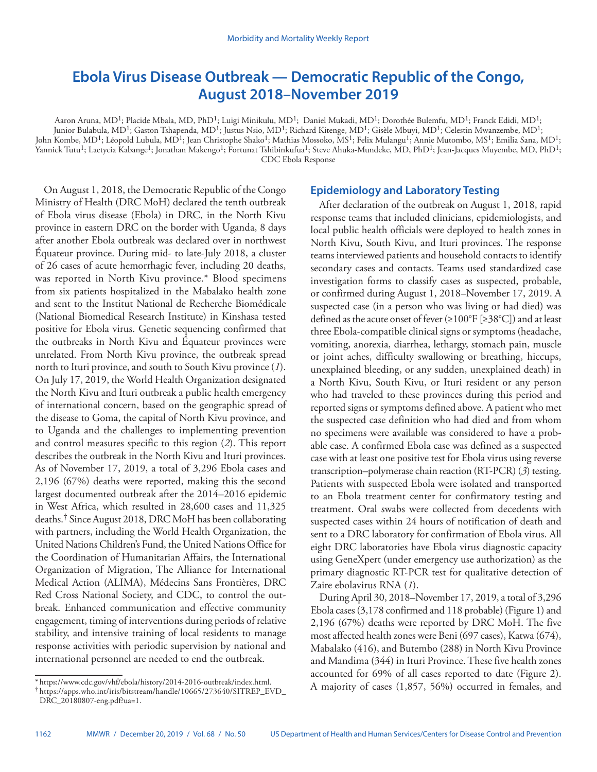# **Ebola Virus Disease Outbreak — Democratic Republic of the Congo, August 2018–November 2019**

Aaron Aruna, MD<sup>1</sup>; Placide Mbala, MD, PhD<sup>1</sup>; Luigi Minikulu, MD<sup>1</sup>; Daniel Mukadi, MD<sup>1</sup>; Dorothée Bulemfu, MD<sup>1</sup>; Franck Edidi, MD<sup>1</sup>; Junior Bulabula, MD<sup>1</sup>; Gaston Tshapenda, MD<sup>1</sup>; Justus Nsio, MD<sup>1</sup>; Richard Kitenge, MD<sup>1</sup>; Gisèle Mbuyi, MD<sup>1</sup>; Celestin Mwanzembe, MD<sup>1</sup>; John Kombe, MD<sup>1</sup>; Léopold Lubula, MD<sup>1</sup>; Jean Christophe Shako<sup>1</sup>; Mathias Mossoko, MS<sup>1</sup>; Felix Mulangu<sup>1</sup>; Annie Mutombo, MS<sup>1</sup>; Emilia Sana, MD<sup>1</sup>;  $\rm{Y}$ annick Tutu<sup>1</sup>; Laetycia Kabange<sup>1</sup>; Jonathan Makengo<sup>1</sup>; Fortunat Tshibinkufua<sup>1</sup>; Steve Ahuka-Mundeke, MD, PhD<sup>1</sup>; Jean-Jacques Muyembe, MD, PhD<sup>1</sup>; CDC Ebola Response

On August 1, 2018, the Democratic Republic of the Congo Ministry of Health (DRC MoH) declared the tenth outbreak of Ebola virus disease (Ebola) in DRC, in the North Kivu province in eastern DRC on the border with Uganda, 8 days after another Ebola outbreak was declared over in northwest Équateur province. During mid- to late-July 2018, a cluster of 26 cases of acute hemorrhagic fever, including 20 deaths, was reported in North Kivu province.\* Blood specimens from six patients hospitalized in the Mabalako health zone and sent to the Institut National de Recherche Biomédicale (National Biomedical Research Institute) in Kinshasa tested positive for Ebola virus. Genetic sequencing confirmed that the outbreaks in North Kivu and Équateur provinces were unrelated. From North Kivu province, the outbreak spread north to Ituri province, and south to South Kivu province (*1*). On July 17, 2019, the World Health Organization designated the North Kivu and Ituri outbreak a public health emergency of international concern, based on the geographic spread of the disease to Goma, the capital of North Kivu province, and to Uganda and the challenges to implementing prevention and control measures specific to this region (*2*). This report describes the outbreak in the North Kivu and Ituri provinces. As of November 17, 2019, a total of 3,296 Ebola cases and 2,196 (67%) deaths were reported, making this the second largest documented outbreak after the 2014–2016 epidemic in West Africa, which resulted in 28,600 cases and 11,325 deaths.† Since August 2018, DRC MoH has been collaborating with partners, including the World Health Organization, the United Nations Children's Fund, the United Nations Office for the Coordination of Humanitarian Affairs, the International Organization of Migration, The Alliance for International Medical Action (ALIMA), Médecins Sans Frontières, DRC Red Cross National Society, and CDC, to control the outbreak. Enhanced communication and effective community engagement, timing of interventions during periods of relative stability, and intensive training of local residents to manage response activities with periodic supervision by national and international personnel are needed to end the outbreak.

### **Epidemiology and Laboratory Testing**

After declaration of the outbreak on August 1, 2018, rapid response teams that included clinicians, epidemiologists, and local public health officials were deployed to health zones in North Kivu, South Kivu, and Ituri provinces. The response teams interviewed patients and household contacts to identify secondary cases and contacts. Teams used standardized case investigation forms to classify cases as suspected, probable, or confirmed during August 1, 2018–November 17, 2019. A suspected case (in a person who was living or had died) was defined as the acute onset of fever  $(\geq 100^{\circ}F [\geq 38^{\circ}C])$  and at least three Ebola-compatible clinical signs or symptoms (headache, vomiting, anorexia, diarrhea, lethargy, stomach pain, muscle or joint aches, difficulty swallowing or breathing, hiccups, unexplained bleeding, or any sudden, unexplained death) in a North Kivu, South Kivu, or Ituri resident or any person who had traveled to these provinces during this period and reported signs or symptoms defined above. A patient who met the suspected case definition who had died and from whom no specimens were available was considered to have a probable case. A confirmed Ebola case was defined as a suspected case with at least one positive test for Ebola virus using reverse transcription–polymerase chain reaction (RT-PCR) (*3*) testing. Patients with suspected Ebola were isolated and transported to an Ebola treatment center for confirmatory testing and treatment. Oral swabs were collected from decedents with suspected cases within 24 hours of notification of death and sent to a DRC laboratory for confirmation of Ebola virus. All eight DRC laboratories have Ebola virus diagnostic capacity using GeneXpert (under emergency use authorization) as the primary diagnostic RT-PCR test for qualitative detection of Zaire ebolavirus RNA (*1*).

During April 30, 2018–November 17, 2019, a total of 3,296 Ebola cases (3,178 confirmed and 118 probable) (Figure 1) and 2,196 (67%) deaths were reported by DRC MoH. The five most affected health zones were Beni (697 cases), Katwa (674), Mabalako (416), and Butembo (288) in North Kivu Province and Mandima (344) in Ituri Province. These five health zones accounted for 69% of all cases reported to date (Figure 2). A majority of cases (1,857, 56%) occurred in females, and

<sup>\*</sup> [https://www.cdc.gov/vhf/ebola/history/2014-2016-outbreak/index.html.](https://www.cdc.gov/vhf/ebola/history/2014-2016-outbreak/index.html) † [https://apps.who.int/iris/bitstream/handle/10665/273640/SITREP\\_EVD\\_](https://apps.who.int/iris/bitstream/handle/10665/273640/SITREP_EVD_DRC_20180807-eng.pdf?ua=1) [DRC\\_20180807-eng.pdf?ua=1](https://apps.who.int/iris/bitstream/handle/10665/273640/SITREP_EVD_DRC_20180807-eng.pdf?ua=1).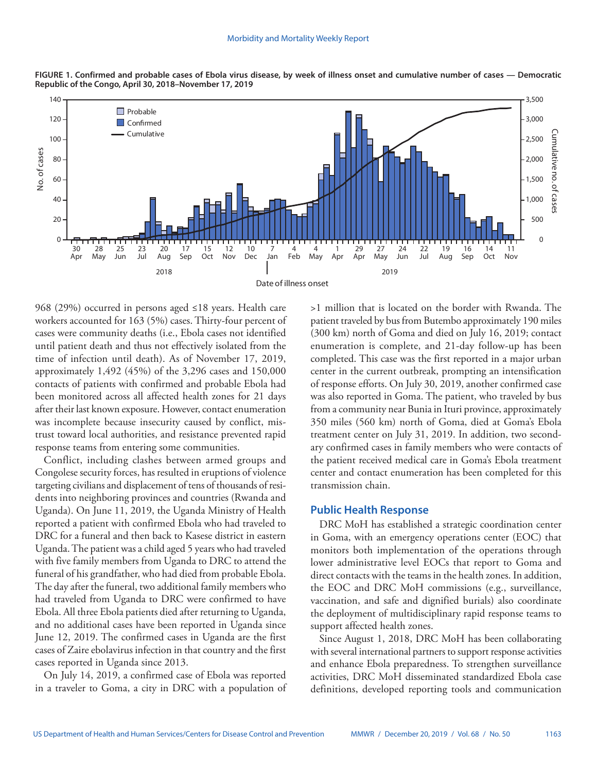

**FIGURE 1. Confirmed and probable cases of Ebola virus disease, by week of illness onset and cumulative number of cases — Democratic Republic of the Congo, April 30, 2018–November 17, 2019**

968 (29%) occurred in persons aged ≤18 years. Health care workers accounted for 163 (5%) cases. Thirty-four percent of cases were community deaths (i.e., Ebola cases not identified until patient death and thus not effectively isolated from the time of infection until death). As of November 17, 2019, approximately 1,492 (45%) of the 3,296 cases and 150,000 contacts of patients with confirmed and probable Ebola had been monitored across all affected health zones for 21 days after their last known exposure. However, contact enumeration was incomplete because insecurity caused by conflict, mistrust toward local authorities, and resistance prevented rapid response teams from entering some communities.

Conflict, including clashes between armed groups and Congolese security forces, has resulted in eruptions of violence targeting civilians and displacement of tens of thousands of residents into neighboring provinces and countries (Rwanda and Uganda). On June 11, 2019, the Uganda Ministry of Health reported a patient with confirmed Ebola who had traveled to DRC for a funeral and then back to Kasese district in eastern Uganda. The patient was a child aged 5 years who had traveled with five family members from Uganda to DRC to attend the funeral of his grandfather, who had died from probable Ebola. The day after the funeral, two additional family members who had traveled from Uganda to DRC were confirmed to have Ebola. All three Ebola patients died after returning to Uganda, and no additional cases have been reported in Uganda since June 12, 2019. The confirmed cases in Uganda are the first cases of Zaire ebolavirus infection in that country and the first cases reported in Uganda since 2013.

On July 14, 2019, a confirmed case of Ebola was reported in a traveler to Goma, a city in DRC with a population of >1 million that is located on the border with Rwanda. The patient traveled by bus from Butembo approximately 190 miles (300 km) north of Goma and died on July 16, 2019; contact enumeration is complete, and 21-day follow-up has been completed. This case was the first reported in a major urban center in the current outbreak, prompting an intensification of response efforts. On July 30, 2019, another confirmed case was also reported in Goma. The patient, who traveled by bus from a community near Bunia in Ituri province, approximately 350 miles (560 km) north of Goma, died at Goma's Ebola treatment center on July 31, 2019. In addition, two secondary confirmed cases in family members who were contacts of the patient received medical care in Goma's Ebola treatment center and contact enumeration has been completed for this transmission chain.

## **Public Health Response**

DRC MoH has established a strategic coordination center in Goma, with an emergency operations center (EOC) that monitors both implementation of the operations through lower administrative level EOCs that report to Goma and direct contacts with the teams in the health zones. In addition, the EOC and DRC MoH commissions (e.g., surveillance, vaccination, and safe and dignified burials) also coordinate the deployment of multidisciplinary rapid response teams to support affected health zones.

Since August 1, 2018, DRC MoH has been collaborating with several international partners to support response activities and enhance Ebola preparedness. To strengthen surveillance activities, DRC MoH disseminated standardized Ebola case definitions, developed reporting tools and communication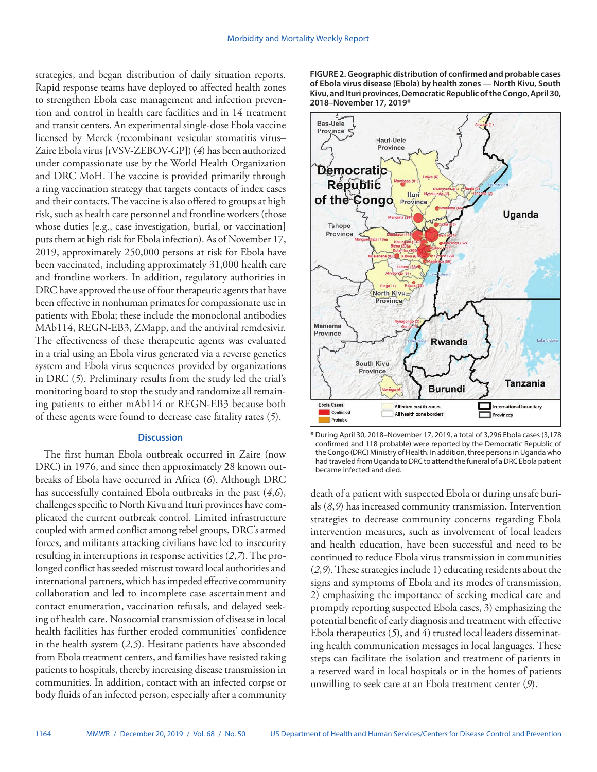strategies, and began distribution of daily situation reports. Rapid response teams have deployed to affected health zones to strengthen Ebola case management and infection prevention and control in health care facilities and in 14 treatment and transit centers. An experimental single-dose Ebola vaccine licensed by Merck (recombinant vesicular stomatitis virus– Zaire Ebola virus [rVSV-ZEBOV-GP]) (*4*) has been authorized under compassionate use by the World Health Organization and DRC MoH. The vaccine is provided primarily through a ring vaccination strategy that targets contacts of index cases and their contacts. The vaccine is also offered to groups at high risk, such as health care personnel and frontline workers (those whose duties [e.g., case investigation, burial, or vaccination] puts them at high risk for Ebola infection). As of November 17, 2019, approximately 250,000 persons at risk for Ebola have been vaccinated, including approximately 31,000 health care and frontline workers. In addition, regulatory authorities in DRC have approved the use of four therapeutic agents that have been effective in nonhuman primates for compassionate use in patients with Ebola; these include the monoclonal antibodies MAb114, REGN-EB3, ZMapp, and the antiviral remdesivir. The effectiveness of these therapeutic agents was evaluated in a trial using an Ebola virus generated via a reverse genetics system and Ebola virus sequences provided by organizations in DRC (*5*). Preliminary results from the study led the trial's monitoring board to stop the study and randomize all remaining patients to either mAb114 or REGN-EB3 because both of these agents were found to decrease case fatality rates (*5*).

#### **Discussion**

The first human Ebola outbreak occurred in Zaire (now DRC) in 1976, and since then approximately 28 known outbreaks of Ebola have occurred in Africa (*6*). Although DRC has successfully contained Ebola outbreaks in the past (*4*,*6*), challenges specific to North Kivu and Ituri provinces have complicated the current outbreak control. Limited infrastructure coupled with armed conflict among rebel groups, DRC's armed forces, and militants attacking civilians have led to insecurity resulting in interruptions in response activities (*2*,*7*). The prolonged conflict has seeded mistrust toward local authorities and international partners, which has impeded effective community collaboration and led to incomplete case ascertainment and contact enumeration, vaccination refusals, and delayed seeking of health care. Nosocomial transmission of disease in local health facilities has further eroded communities' confidence in the health system (*2*,*5*). Hesitant patients have absconded from Ebola treatment centers, and families have resisted taking patients to hospitals, thereby increasing disease transmission in communities. In addition, contact with an infected corpse or body fluids of an infected person, especially after a community **FIGURE 2. Geographic distribution of confirmed and probable cases of Ebola virus disease (Ebola) by health zones — North Kivu, South Kivu, and Ituri provinces, Democratic Republic of the Congo, April 30, 2018–November 17, 2019\***



\* During April 30, 2018–November 17, 2019, a total of 3,296 Ebola cases (3,178 confirmed and 118 probable) were reported by the Democratic Republic of the Congo (DRC) Ministry of Health. In addition, three persons in Uganda who had traveled from Uganda to DRC to attend the funeral of a DRC Ebola patient became infected and died.

death of a patient with suspected Ebola or during unsafe burials (*8*,*9*) has increased community transmission. Intervention strategies to decrease community concerns regarding Ebola intervention measures, such as involvement of local leaders and health education, have been successful and need to be continued to reduce Ebola virus transmission in communities (*2*,*9*). These strategies include 1) educating residents about the signs and symptoms of Ebola and its modes of transmission, 2) emphasizing the importance of seeking medical care and promptly reporting suspected Ebola cases, 3) emphasizing the potential benefit of early diagnosis and treatment with effective Ebola therapeutics (*5*), and 4) trusted local leaders disseminating health communication messages in local languages. These steps can facilitate the isolation and treatment of patients in a reserved ward in local hospitals or in the homes of patients unwilling to seek care at an Ebola treatment center (*9*).